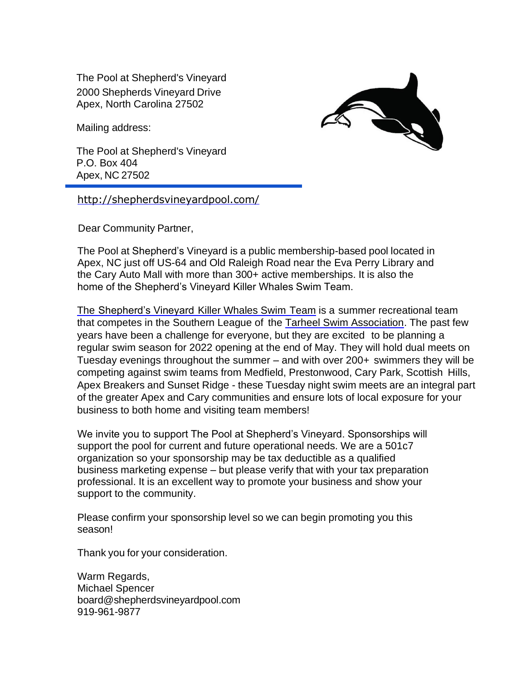The Pool at Shepherd's Vineyard 2000 Shepherds Vineyard Drive Apex, North Carolina 27502

Mailing address:

The Pool at Shepherd's Vineyard P.O. Box 404 Apex, NC 27502

<http://shepherdsvineyardpool.com/>

Dear Community Partner,

The Pool at Shepherd's Vineyard is a public membership-based pool located in Apex, NC just off US-64 and Old Raleigh Road near the Eva Perry Library and the Cary Auto Mall with more than 300+ active memberships. It is also the home of the Shepherd's Vineyard Killer Whales Swim Team.

The [Shepherd's Vineyard](https://shepherdsvineyard.swimtopia.com/) Killer Whales Swim Team is a summer recreational team that competes in the Southern League of the [Tarheel Swim Association. T](https://tsa.swimtopia.com/)he past few years have been a challenge for everyone, but they are excited to be planning a regular swim season for 2022 opening at the end of May. They will hold dual meets on Tuesday evenings throughout the summer – and with over 200+ swimmers they will be competing against swim teams from Medfield, Prestonwood, Cary Park, Scottish Hills, Apex Breakers and Sunset Ridge - these Tuesday night swim meets are an integral part of the greater Apex and Cary communities and ensure lots of local exposure for your business to both home and visiting team members!

We invite you to support The Pool at Shepherd's Vineyard. Sponsorships will support the pool for current and future operational needs. We are a 501c7 organization so your sponsorship may be tax deductible as a qualified business marketing expense – but please verify that with your tax preparation professional. It is an excellent way to promote your business and show your support to the community.

Please confirm your sponsorship level so we can begin promoting you this season!

Thank you for your consideration.

Warm Regards, Michael Spencer [board@shepherdsvineyardpool.com](mailto:board@shepherdsvineyardpool.com) 919-961-9877